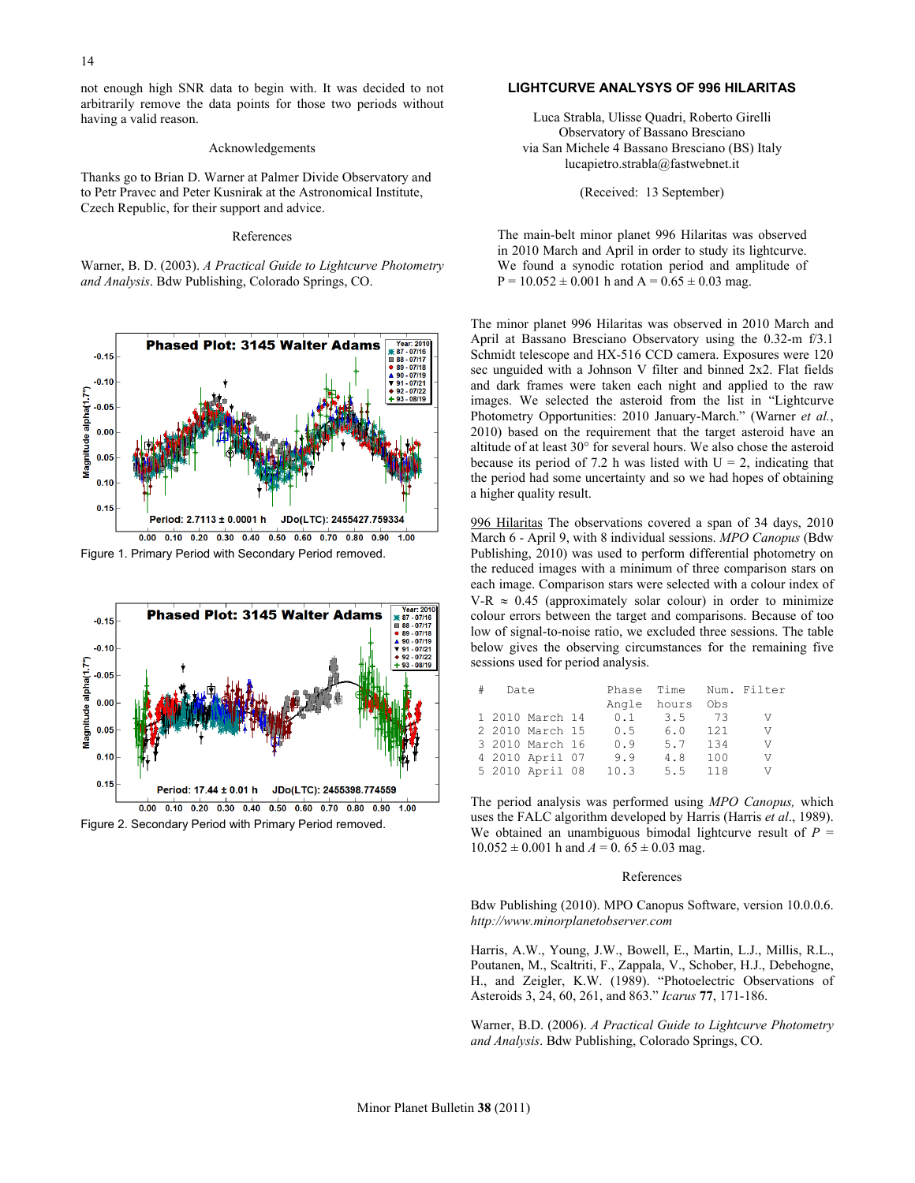not enough high SNR data to begin with. It was decided to not arbitrarily remove the data points for those two periods without having a valid reason.

#### Acknowledgements

Thanks go to Brian D. Warner at Palmer Divide Observatory and to Petr Pravec and Peter Kusnirak at the Astronomical Institute, Czech Republic, for their support and advice.

#### References

Warner, B. D. (2003). *A Practical Guide to Lightcurve Photometry and Analysis*. Bdw Publishing, Colorado Springs, CO.







Figure 2. Secondary Period with Primary Period removed.

## **LIGHTCURVE ANALYSYS OF 996 HILARITAS**

Luca Strabla, Ulisse Quadri, Roberto Girelli Observatory of Bassano Bresciano via San Michele 4 Bassano Bresciano (BS) Italy lucapietro.strabla@fastwebnet.it

(Received: 13 September)

The main-belt minor planet 996 Hilaritas was observed in 2010 March and April in order to study its lightcurve. We found a synodic rotation period and amplitude of  $P = 10.052 \pm 0.001$  h and  $A = 0.65 \pm 0.03$  mag.

The minor planet 996 Hilaritas was observed in 2010 March and April at Bassano Bresciano Observatory using the 0.32-m f/3.1 Schmidt telescope and HX-516 CCD camera. Exposures were 120 sec unguided with a Johnson V filter and binned 2x2. Flat fields and dark frames were taken each night and applied to the raw images. We selected the asteroid from the list in "Lightcurve Photometry Opportunities: 2010 January-March." (Warner *et al.*, 2010) based on the requirement that the target asteroid have an altitude of at least 30° for several hours. We also chose the asteroid because its period of 7.2 h was listed with  $U = 2$ , indicating that the period had some uncertainty and so we had hopes of obtaining a higher quality result.

996 Hilaritas The observations covered a span of 34 days, 2010 March 6 - April 9, with 8 individual sessions. *MPO Canopus* (Bdw Publishing, 2010) was used to perform differential photometry on the reduced images with a minimum of three comparison stars on each image. Comparison stars were selected with a colour index of V-R  $\approx$  0.45 (approximately solar colour) in order to minimize colour errors between the target and comparisons. Because of too low of signal-to-noise ratio, we excluded three sessions. The table below gives the observing circumstances for the remaining five sessions used for period analysis.

| Date |                 |  |      |             |      | Phase Time Num. Filter |
|------|-----------------|--|------|-------------|------|------------------------|
|      |                 |  |      | Angle hours | Obs  |                        |
|      | 1 2010 March 14 |  | 0.1  | 3.5         | - 73 | V                      |
|      | 2 2010 March 15 |  | 0.5  | 6.0         | 121  | V                      |
|      | 3 2010 March 16 |  | 0.9  | 5.7         | 134  | V                      |
|      | 4 2010 April 07 |  | 9.9  | 4.8         | 100  | V                      |
|      | 5 2010 April 08 |  | 10.3 | 5.5         | 118  | V                      |

The period analysis was performed using *MPO Canopus,* which uses the FALC algorithm developed by Harris (Harris *et al*., 1989). We obtained an unambiguous bimodal lightcurve result of  $P =$  $10.052 \pm 0.001$  h and  $A = 0.65 \pm 0.03$  mag.

## References

Bdw Publishing (2010). MPO Canopus Software, version 10.0.0.6. *http://www.minorplanetobserver.com*

Harris, A.W., Young, J.W., Bowell, E., Martin, L.J., Millis, R.L., Poutanen, M., Scaltriti, F., Zappala, V., Schober, H.J., Debehogne, H., and Zeigler, K.W. (1989). "Photoelectric Observations of Asteroids 3, 24, 60, 261, and 863." *Icarus* **77**, 171-186.

Warner, B.D. (2006). *A Practical Guide to Lightcurve Photometry and Analysis*. Bdw Publishing, Colorado Springs, CO.